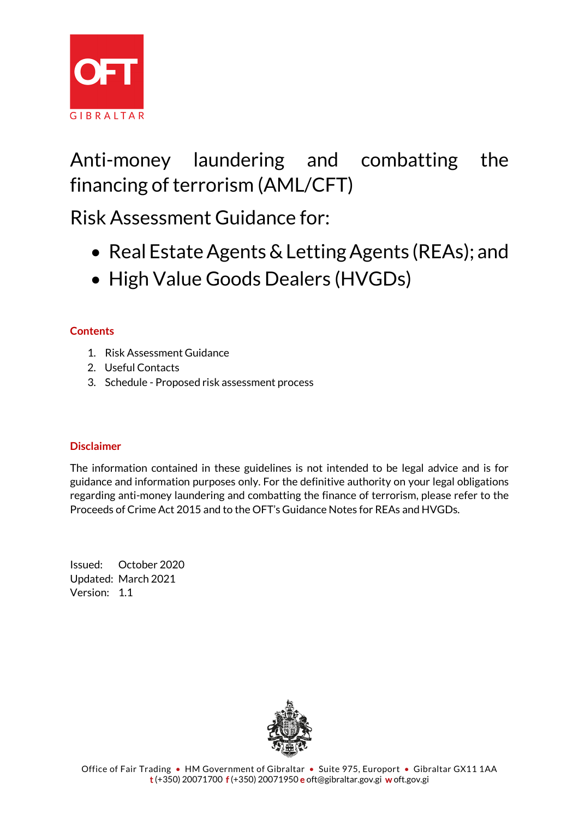

# Anti-money laundering and combatting the financing of terrorism (AML/CFT)

Risk Assessment Guidance for:

- Real Estate Agents & Letting Agents (REAs); and
- High Value Goods Dealers (HVGDs)

# **Contents**

- 1. Risk Assessment Guidance
- 2. Useful Contacts
- 3. Schedule Proposed risk assessment process

# **Disclaimer**

The information contained in these guidelines is not intended to be legal advice and is for guidance and information purposes only. For the definitive authority on your legal obligations regarding anti-money laundering and combatting the finance of terrorism, please refer to the Proceeds of Crime Act 2015 and to the OFT's Guidance Notes for REAs and HVGDs.

Issued: October 2020 Updated: March 2021 Version: 1.1

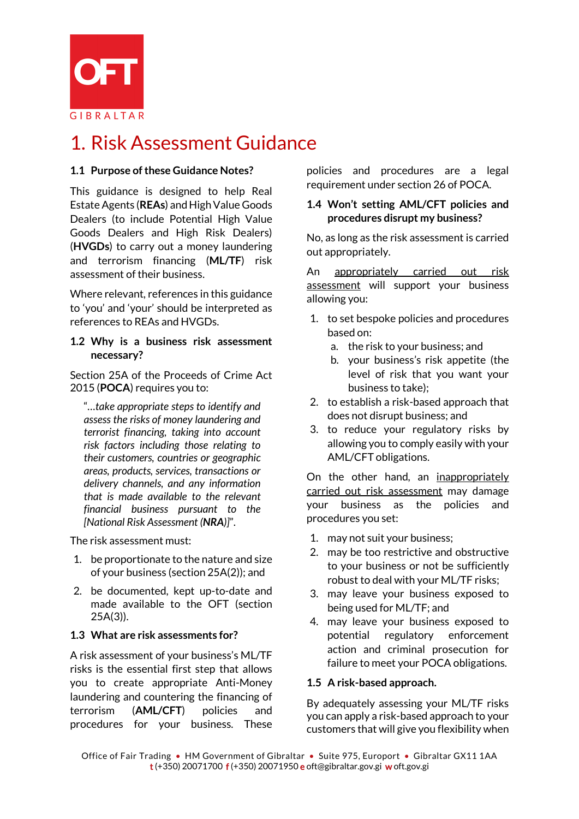

# 1. Risk Assessment Guidance

# **1.1 Purpose of these Guidance Notes?**

This guidance is designed to help Real Estate Agents (**REAs**) and High Value Goods Dealers (to include Potential High Value Goods Dealers and High Risk Dealers) (**HVGDs**) to carry out a money laundering and terrorism financing (**ML/TF**) risk assessment of their business.

Where relevant, references in this guidance to 'you' and 'your' should be interpreted as references to REAs and HVGDs.

### **1.2 Why is a business risk assessment necessary?**

Section 25A of the Proceeds of Crime Act 2015 (**POCA**) requires you to:

"*…take appropriate steps to identify and assess the risks of money laundering and terrorist financing, taking into account risk factors including those relating to their customers, countries or geographic areas, products, services, transactions or delivery channels, and any information that is made available to the relevant financial business pursuant to the [National Risk Assessment (NRA)]*".

The risk assessment must:

- 1. be proportionate to the nature and size of your business (section 25A(2)); and
- 2. be documented, kept up-to-date and made available to the OFT (section 25A(3)).

### **1.3 What are risk assessments for?**

A risk assessment of your business's ML/TF risks is the essential first step that allows you to create appropriate Anti-Money laundering and countering the financing of terrorism (**AML/CFT**) policies and procedures for your business. These policies and procedures are a legal requirement under section 26 of POCA.

### **1.4 Won't setting AML/CFT policies and procedures disrupt my business?**

No, as long as the risk assessment is carried out appropriately.

An appropriately carried out risk assessment will support your business allowing you:

- 1. to set bespoke policies and procedures based on:
	- a. the risk to your business; and
	- b. your business's risk appetite (the level of risk that you want your business to take);
- 2. to establish a risk-based approach that does not disrupt business; and
- 3. to reduce your regulatory risks by allowing you to comply easily with your AML/CFT obligations.

On the other hand, an inappropriately carried out risk assessment may damage your business as the policies and procedures you set:

- 1. may not suit your business;
- 2. may be too restrictive and obstructive to your business or not be sufficiently robust to deal with your ML/TF risks;
- 3. may leave your business exposed to being used for ML/TF; and
- 4. may leave your business exposed to potential regulatory enforcement action and criminal prosecution for failure to meet your POCA obligations.

#### **1.5 A risk-based approach.**

By adequately assessing your ML/TF risks you can apply a risk-based approach to your customers that will give you flexibility when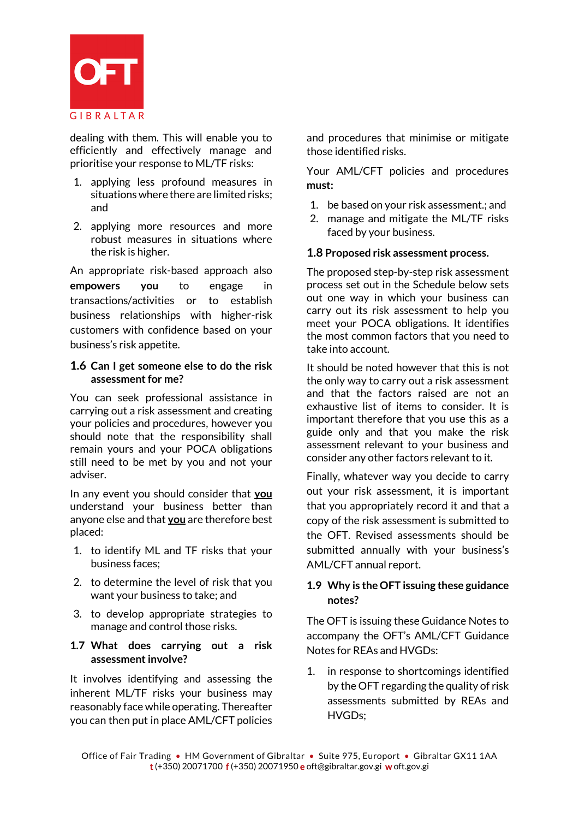

dealing with them. This will enable you to efficiently and effectively manage and prioritise your response to ML/TF risks:

- 1. applying less profound measures in situations where there are limited risks; and
- 2. applying more resources and more robust measures in situations where the risk is higher.

An appropriate risk-based approach also **empowers you** to engage in transactions/activities or to establish business relationships with higher-risk customers with confidence based on your business's risk appetite.

### **1.6 Can I get someone else to do the risk assessment for me?**

You can seek professional assistance in carrying out a risk assessment and creating your policies and procedures, however you should note that the responsibility shall remain yours and your POCA obligations still need to be met by you and not your adviser.

In any event you should consider that **you** understand your business better than anyone else and that **you** are therefore best placed:

- 1. to identify ML and TF risks that your business faces;
- 2. to determine the level of risk that you want your business to take; and
- 3. to develop appropriate strategies to manage and control those risks.

### **1.7 What does carrying out a risk assessment involve?**

It involves identifying and assessing the inherent ML/TF risks your business may reasonably face while operating. Thereafter you can then put in place AML/CFT policies

and procedures that minimise or mitigate those identified risks.

Your AML/CFT policies and procedures **must:**

- 1. be based on your risk assessment.; and
- 2. manage and mitigate the ML/TF risks faced by your business.

### **1.8 Proposed risk assessment process.**

The proposed step-by-step risk assessment process set out in the Schedule below sets out one way in which your business can carry out its risk assessment to help you meet your POCA obligations. It identifies the most common factors that you need to take into account.

It should be noted however that this is not the only way to carry out a risk assessment and that the factors raised are not an exhaustive list of items to consider. It is important therefore that you use this as a guide only and that you make the risk assessment relevant to your business and consider any other factors relevant to it.

Finally, whatever way you decide to carry out your risk assessment, it is important that you appropriately record it and that a copy of the risk assessment is submitted to the OFT. Revised assessments should be submitted annually with your business's AML/CFT annual report.

# **1.9 Why is the OFT issuing these guidance notes?**

The OFT is issuing these Guidance Notes to accompany the OFT's AML/CFT Guidance Notes for REAs and HVGDs:

1. in response to shortcomings identified by the OFT regarding the quality of risk assessments submitted by REAs and HVGDs;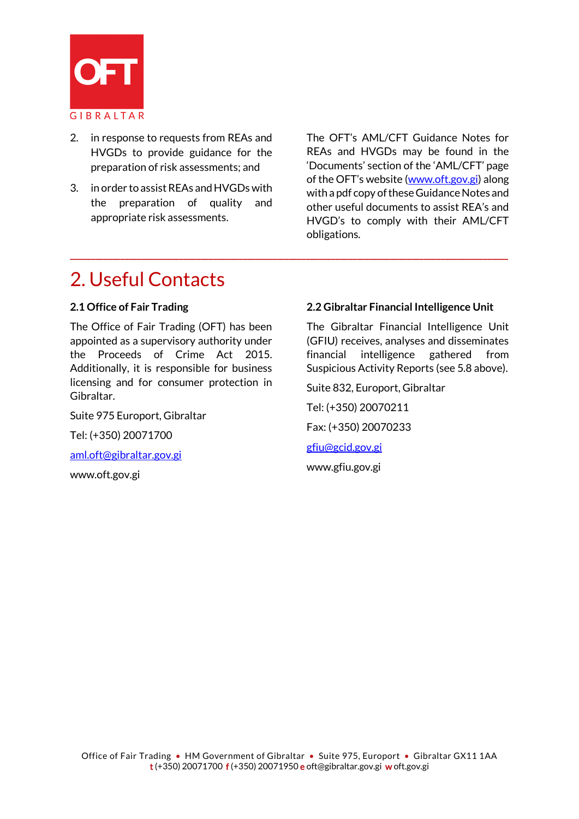

- 2. in response to requests from REAs and HVGDs to provide guidance for the preparation of risk assessments; and
- 3. in order to assist REAs and HVGDs with the preparation of quality and appropriate risk assessments.

The OFT's AML/CFT Guidance Notes for REAs and HVGDs may be found in the 'Documents' section of the 'AML/CFT' page of the OFT's website [\(www.oft.gov.gi\)](http://www.oft.gov.gi/) along with a pdf copy of these Guidance Notes and other useful documents to assist REA's and HVGD's to comply with their AML/CFT obligations.

# 2. Useful Contacts

### **2.1 Office of Fair Trading**

The Office of Fair Trading (OFT) has been appointed as a supervisory authority under the Proceeds of Crime Act 2015. Additionally, it is responsible for business licensing and for consumer protection in Gibraltar.

Suite 975 Europort, Gibraltar

Tel: (+350) 20071700

[aml.oft@gibraltar.gov.gi](mailto:aml.oft@gibraltar.gov.gi) 

www.oft.gov.gi

### **2.2 Gibraltar Financial Intelligence Unit**

The Gibraltar Financial Intelligence Unit (GFIU) receives, analyses and disseminates financial intelligence gathered from Suspicious Activity Reports (see 5.8 above).

Suite 832, Europort, Gibraltar

Tel: (+350) 20070211

Fax: (+350) 20070233

[gfiu@gcid.gov.gi](mailto:gfiu@gcid.gov.gi)

**\_\_\_\_\_\_\_\_\_\_\_\_\_\_\_\_\_\_\_\_\_\_\_\_\_\_\_\_\_\_\_\_\_\_\_\_\_\_\_\_\_\_\_\_\_\_\_\_\_\_\_\_\_\_\_\_\_\_\_\_\_\_\_\_\_\_\_\_\_\_\_\_\_\_\_\_\_\_\_\_\_\_\_\_\_\_\_\_\_\_\_\_\_\_\_\_\_\_\_\_\_\_\_\_**

www.gfiu.gov.gi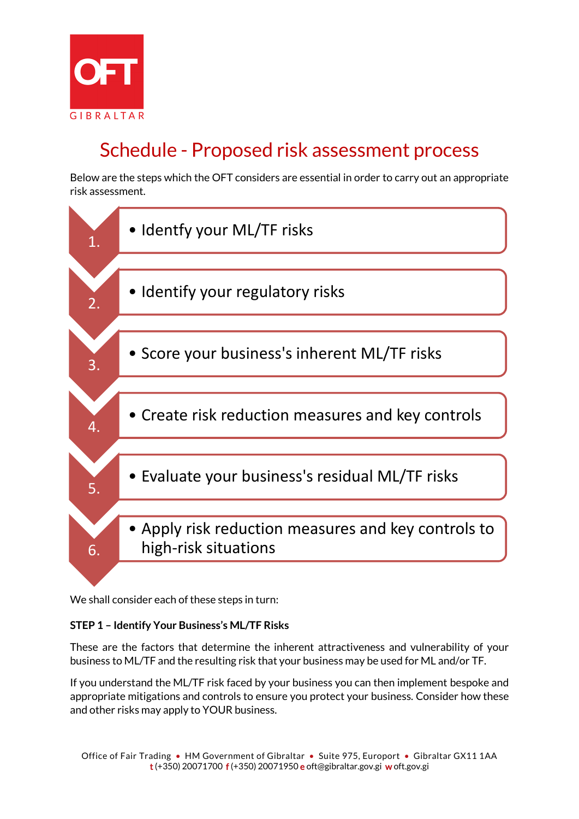

# Schedule - Proposed risk assessment process

Below are the steps which the OFT considers are essential in order to carry out an appropriate risk assessment.



We shall consider each of these steps in turn:

### **STEP 1 – Identify Your Business's ML/TF Risks**

These are the factors that determine the inherent attractiveness and vulnerability of your business to ML/TF and the resulting risk that your business may be used for ML and/or TF.

If you understand the ML/TF risk faced by your business you can then implement bespoke and appropriate mitigations and controls to ensure you protect your business. Consider how these and other risks may apply to YOUR business.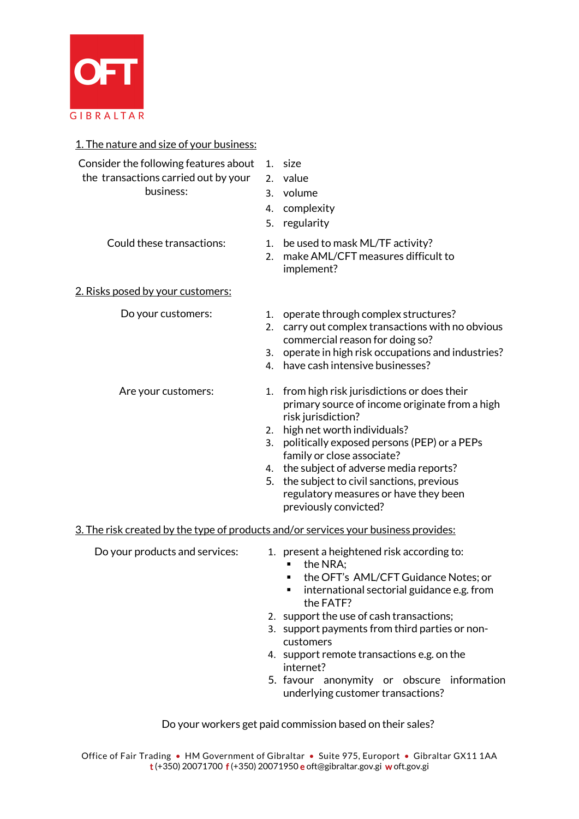

| 1. The nature and size of your business:                                                   |                      |                                                                                                                                                                              |
|--------------------------------------------------------------------------------------------|----------------------|------------------------------------------------------------------------------------------------------------------------------------------------------------------------------|
| Consider the following features about<br>the transactions carried out by your<br>business: | 1.<br>2.<br>4.<br>5. | size<br>value<br>3. volume<br>complexity<br>regularity                                                                                                                       |
| Could these transactions:                                                                  | 1.<br>2.             | be used to mask ML/TF activity?<br>make AML/CFT measures difficult to<br>implement?                                                                                          |
| 2. Risks posed by your customers:                                                          |                      |                                                                                                                                                                              |
| Do your customers:                                                                         | 1.<br>2.<br>3.       | operate through complex structures?<br>carry out complex transactions with no obvious<br>commercial reason for doing so?<br>operate in high risk occupations and industries? |
|                                                                                            | 4.                   | have cash intensive businesses?                                                                                                                                              |
| Are your customers:                                                                        | 1.                   | from high risk jurisdictions or does their<br>primary source of income originate from a high<br>risk jurisdiction?                                                           |
|                                                                                            | 3.                   | 2. high net worth individuals?<br>politically exposed persons (PEP) or a PEPs                                                                                                |
|                                                                                            |                      | family or close associate?                                                                                                                                                   |
|                                                                                            | 5.                   | 4. the subject of adverse media reports?<br>the subject to civil sanctions, previous                                                                                         |
|                                                                                            |                      | regulatory measures or have they been<br>previously convicted?                                                                                                               |
| 3. The risk created by the type of products and/or services your business provides:        |                      |                                                                                                                                                                              |
| Do your products and services:                                                             |                      | 1. present a heightened risk according to:<br>the NRA:                                                                                                                       |

- **the OFT's AML/CFT Guidance Notes; or**
- **EXECT** international sectorial guidance e.g. from the FATF?
- 2. support the use of cash transactions;
- 3. support payments from third parties or noncustomers
- 4. support remote transactions e.g. on the internet?
- 5. favour anonymity or obscure information underlying customer transactions?

Do your workers get paid commission based on their sales?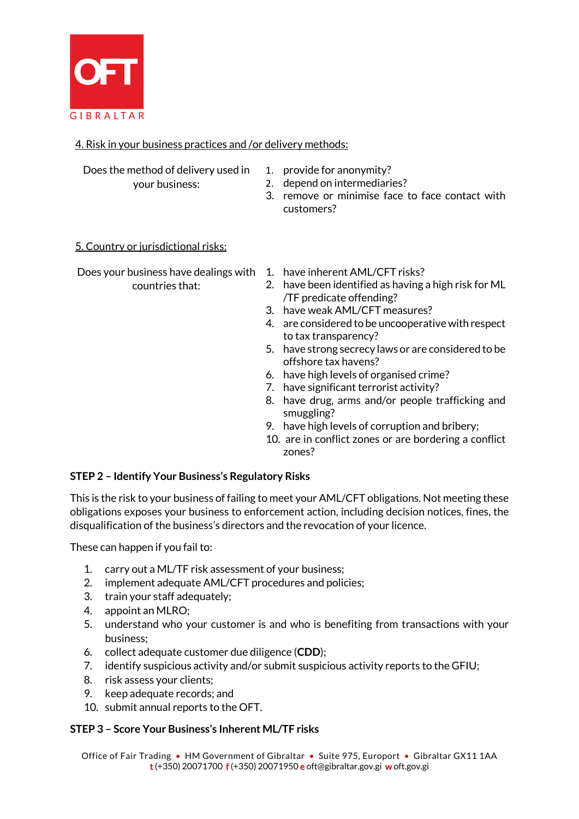

# 4. Risk in your business practices and /or delivery methods:

Does the method of delivery used in

- 1. provide for anonymity?
- your business:
- 2. depend on intermediaries?
- 
- 3. remove or minimise face to face contact with customers?

5. Country or jurisdictional risks:

Does your business have dealings with 1. have inherent AML/CFT risks? countries that:

- 
- 2. have been identified as having a high risk for ML /TF predicate offending?
- 3. have weak AML/CFT measures?
- 4. are considered to be uncooperative with respect to tax transparency?
- 5. have strong secrecy laws or are considered to be offshore tax havens?
- 6. have high levels of organised crime?
- 7. have significant terrorist activity?
- 8. have drug, arms and/or people trafficking and smuggling?
- 9. have high levels of corruption and bribery;
- 10. are in conflict zones or are bordering a conflict zones?

### **STEP 2 – Identify Your Business's Regulatory Risks**

This is the risk to your business of failing to meet your AML/CFT obligations. Not meeting these obligations exposes your business to enforcement action, including decision notices, fines, the disqualification of the business's directors and the revocation of your licence.

These can happen if you fail to:

- 1. carry out a ML/TF risk assessment of your business;
- 2. implement adequate AML/CFT procedures and policies;
- 3. train your staff adequately;
- 4. appoint an MLRO;
- 5. understand who your customer is and who is benefiting from transactions with your business;
- 6. collect adequate customer due diligence (**CDD**);
- 7. identify suspicious activity and/or submit suspicious activity reports to the GFIU;
- 8. risk assess your clients;
- 9. keep adequate records; and
- 10. submit annual reports to the OFT.

### **STEP 3 – Score Your Business's Inherent ML/TF risks**

Office of Fair Trading • HM Government of Gibraltar • Suite 975, Europort • Gibraltar GX11 1AA t (+350) 20071700 f (+350) 20071950 e oft@gibraltar.gov.gi w oft.gov.gi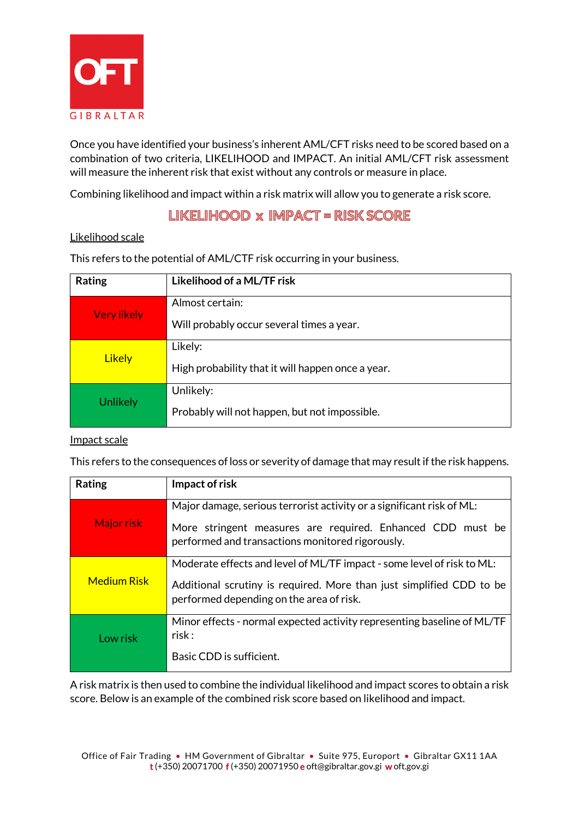

Once you have identified your business's inherent AML/CFT risks need to be scored based on a combination of two criteria, LIKELIHOOD and IMPACT. An initial AML/CFT risk assessment will measure the inherent risk that exist without any controls or measure in place.

Combining likelihood and impact within a risk matrix will allow you to generate a risk score.

# LIKELIHOOD x IMPACT = RISK SCORE

### Likelihood scale

| Rating             | Likelihood of a ML/TF risk                        |
|--------------------|---------------------------------------------------|
| <b>Very likely</b> | Almost certain:                                   |
|                    | Will probably occur several times a year.         |
| <b>Likely</b>      | Likely:                                           |
|                    | High probability that it will happen once a year. |
| Unlikely           | Unlikely:                                         |
|                    | Probably will not happen, but not impossible.     |

This refers to the potential of AML/CTF risk occurring in your business.

### Impact scale

This refers to the consequences of loss or severity of damage that may result if the risk happens.

| Rating             | Impact of risk                                                                                                                                                                             |  |  |  |  |  |
|--------------------|--------------------------------------------------------------------------------------------------------------------------------------------------------------------------------------------|--|--|--|--|--|
| <b>Major risk</b>  | Major damage, serious terrorist activity or a significant risk of ML:<br>More stringent measures are required. Enhanced CDD must be<br>performed and transactions monitored rigorously.    |  |  |  |  |  |
| <b>Medium Risk</b> | Moderate effects and level of ML/TF impact - some level of risk to ML:<br>Additional scrutiny is required. More than just simplified CDD to be<br>performed depending on the area of risk. |  |  |  |  |  |
| Low risk           | Minor effects - normal expected activity representing baseline of ML/TF<br>risk:<br>Basic CDD is sufficient.                                                                               |  |  |  |  |  |

A risk matrix is then used to combine the individual likelihood and impact scores to obtain a risk score. Below is an example of the combined risk score based on likelihood and impact.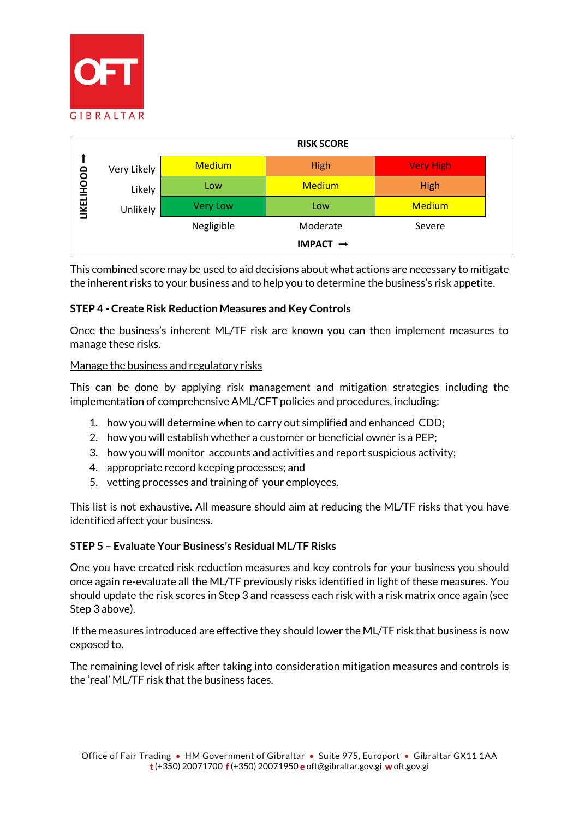



This combined score may be used to aid decisions about what actions are necessary to mitigate the inherent risks to your business and to help you to determine the business's risk appetite.

### **STEP 4 - Create Risk Reduction Measures and Key Controls**

Once the business's inherent ML/TF risk are known you can then implement measures to manage these risks.

#### Manage the business and regulatory risks

This can be done by applying risk management and mitigation strategies including the implementation of comprehensive AML/CFT policies and procedures, including:

- 1. how you will determine when to carry out simplified and enhanced CDD;
- 2. how you will establish whether a customer or beneficial owner is a PEP;
- 3. how you will monitor accounts and activities and report suspicious activity;
- 4. appropriate record keeping processes; and
- 5. vetting processes and training of your employees.

This list is not exhaustive. All measure should aim at reducing the ML/TF risks that you have identified affect your business.

#### **STEP 5 – Evaluate Your Business's Residual ML/TF Risks**

One you have created risk reduction measures and key controls for your business you should once again re-evaluate all the ML/TF previously risks identified in light of these measures. You should update the risk scores in Step 3 and reassess each risk with a risk matrix once again (see Step 3 above).

If the measures introduced are effective they should lower the ML/TF risk that business is now exposed to.

The remaining level of risk after taking into consideration mitigation measures and controls is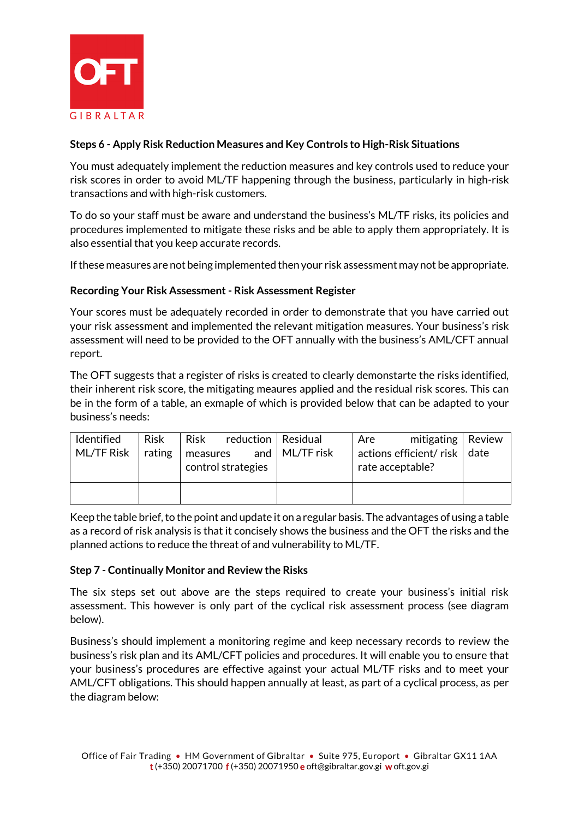

# **Steps 6 - Apply Risk Reduction Measures and Key Controls to High-Risk Situations**

You must adequately implement the reduction measures and key controls used to reduce your risk scores in order to avoid ML/TF happening through the business, particularly in high-risk transactions and with high-risk customers.

To do so your staff must be aware and understand the business's ML/TF risks, its policies and procedures implemented to mitigate these risks and be able to apply them appropriately. It is also essential that you keep accurate records.

If these measures are not being implemented then your risk assessment may not be appropriate.

### **Recording Your Risk Assessment - Risk Assessment Register**

Your scores must be adequately recorded in order to demonstrate that you have carried out your risk assessment and implemented the relevant mitigation measures. Your business's risk assessment will need to be provided to the OFT annually with the business's AML/CFT annual report.

The OFT suggests that a register of risks is created to clearly demonstarte the risks identified, their inherent risk score, the mitigating meaures applied and the residual risk scores. This can be in the form of a table, an exmaple of which is provided below that can be adapted to your business's needs:

| Identified        | <b>Risk</b> | <b>Risk</b> | reduction   Residual |                       | Are | mitigating $\vert$ Review                          |  |
|-------------------|-------------|-------------|----------------------|-----------------------|-----|----------------------------------------------------|--|
| <b>ML/TF Risk</b> | rating      | measures    | control strategies   | and $\mid$ ML/TF risk |     | actions efficient/ risk   date<br>rate acceptable? |  |
|                   |             |             |                      |                       |     |                                                    |  |

Keep the table brief, to the point and update it on a regular basis. The advantages of using a table as a record of risk analysis is that it concisely shows the business and the OFT the risks and the planned actions to reduce the threat of and vulnerability to ML/TF.

#### **Step 7 - Continually Monitor and Review the Risks**

The six steps set out above are the steps required to create your business's initial risk assessment. This however is only part of the cyclical risk assessment process (see diagram below).

Business's should implement a monitoring regime and keep necessary records to review the business's risk plan and its AML/CFT policies and procedures. It will enable you to ensure that your business's procedures are effective against your actual ML/TF risks and to meet your AML/CFT obligations. This should happen annually at least, as part of a cyclical process, as per the diagram below: